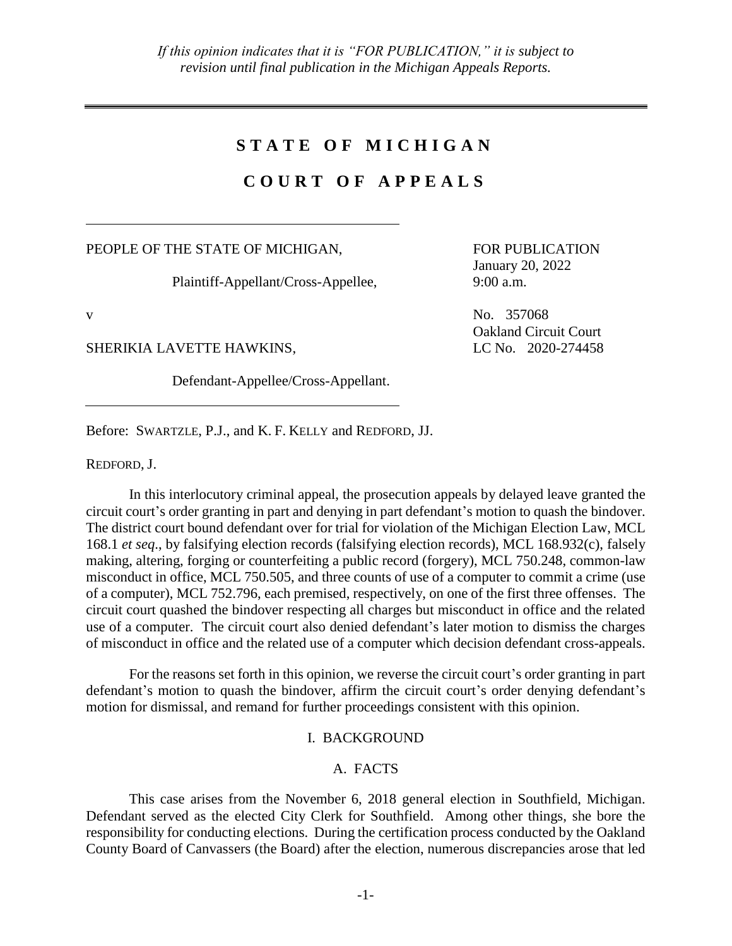# **S T A T E O F M I C H I G A N**

# **C O U R T O F A P P E A L S**

PEOPLE OF THE STATE OF MICHIGAN,

Plaintiff-Appellant/Cross-Appellee,

SHERIKIA LAVETTE HAWKINS, LC No. 2020-274458

Defendant-Appellee/Cross-Appellant.

FOR PUBLICATION January 20, 2022 9:00 a.m.

v No. 357068 Oakland Circuit Court

Before: SWARTZLE, P.J., and K. F. KELLY and REDFORD, JJ.

REDFORD, J.

In this interlocutory criminal appeal, the prosecution appeals by delayed leave granted the circuit court's order granting in part and denying in part defendant's motion to quash the bindover. The district court bound defendant over for trial for violation of the Michigan Election Law, MCL 168.1 *et seq*., by falsifying election records (falsifying election records), MCL 168.932(c), falsely making, altering, forging or counterfeiting a public record (forgery), MCL 750.248, common-law misconduct in office, MCL 750.505, and three counts of use of a computer to commit a crime (use of a computer), MCL 752.796, each premised, respectively, on one of the first three offenses. The circuit court quashed the bindover respecting all charges but misconduct in office and the related use of a computer. The circuit court also denied defendant's later motion to dismiss the charges of misconduct in office and the related use of a computer which decision defendant cross-appeals.

For the reasons set forth in this opinion, we reverse the circuit court's order granting in part defendant's motion to quash the bindover, affirm the circuit court's order denying defendant's motion for dismissal, and remand for further proceedings consistent with this opinion.

### I. BACKGROUND

## A. FACTS

This case arises from the November 6, 2018 general election in Southfield, Michigan. Defendant served as the elected City Clerk for Southfield. Among other things, she bore the responsibility for conducting elections. During the certification process conducted by the Oakland County Board of Canvassers (the Board) after the election, numerous discrepancies arose that led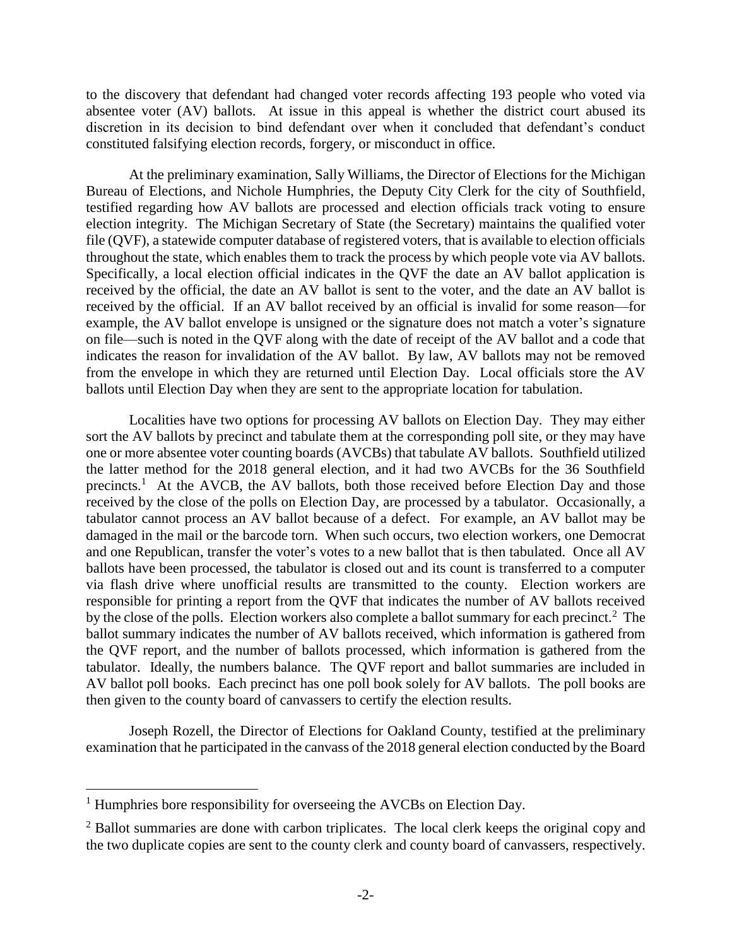to the discovery that defendant had changed voter records affecting 193 people who voted via absentee voter (AV) ballots. At issue in this appeal is whether the district court abused its discretion in its decision to bind defendant over when it concluded that defendant's conduct constituted falsifying election records, forgery, or misconduct in office.

At the preliminary examination, Sally Williams, the Director of Elections for the Michigan Bureau of Elections, and Nichole Humphries, the Deputy City Clerk for the city of Southfield, testified regarding how AV ballots are processed and election officials track voting to ensure election integrity. The Michigan Secretary of State (the Secretary) maintains the qualified voter file (QVF), a statewide computer database of registered voters, that is available to election officials throughout the state, which enables them to track the process by which people vote via AV ballots. Specifically, a local election official indicates in the QVF the date an AV ballot application is received by the official, the date an AV ballot is sent to the voter, and the date an AV ballot is received by the official. If an AV ballot received by an official is invalid for some reason—for example, the AV ballot envelope is unsigned or the signature does not match a voter's signature on file—such is noted in the QVF along with the date of receipt of the AV ballot and a code that indicates the reason for invalidation of the AV ballot. By law, AV ballots may not be removed from the envelope in which they are returned until Election Day. Local officials store the AV ballots until Election Day when they are sent to the appropriate location for tabulation.

Localities have two options for processing AV ballots on Election Day. They may either sort the AV ballots by precinct and tabulate them at the corresponding poll site, or they may have one or more absentee voter counting boards (AVCBs) that tabulate AV ballots. Southfield utilized the latter method for the 2018 general election, and it had two AVCBs for the 36 Southfield precincts.<sup>1</sup> At the AVCB, the AV ballots, both those received before Election Day and those received by the close of the polls on Election Day, are processed by a tabulator. Occasionally, a tabulator cannot process an AV ballot because of a defect. For example, an AV ballot may be damaged in the mail or the barcode torn. When such occurs, two election workers, one Democrat and one Republican, transfer the voter's votes to a new ballot that is then tabulated. Once all AV ballots have been processed, the tabulator is closed out and its count is transferred to a computer via flash drive where unofficial results are transmitted to the county. Election workers are responsible for printing a report from the QVF that indicates the number of AV ballots received by the close of the polls. Election workers also complete a ballot summary for each precinct.<sup>2</sup> The ballot summary indicates the number of AV ballots received, which information is gathered from the QVF report, and the number of ballots processed, which information is gathered from the tabulator. Ideally, the numbers balance. The QVF report and ballot summaries are included in AV ballot poll books. Each precinct has one poll book solely for AV ballots. The poll books are then given to the county board of canvassers to certify the election results.

Joseph Rozell, the Director of Elections for Oakland County, testified at the preliminary examination that he participated in the canvass of the 2018 general election conducted by the Board

 $1$  Humphries bore responsibility for overseeing the AVCBs on Election Day.

<sup>&</sup>lt;sup>2</sup> Ballot summaries are done with carbon triplicates. The local clerk keeps the original copy and the two duplicate copies are sent to the county clerk and county board of canvassers, respectively.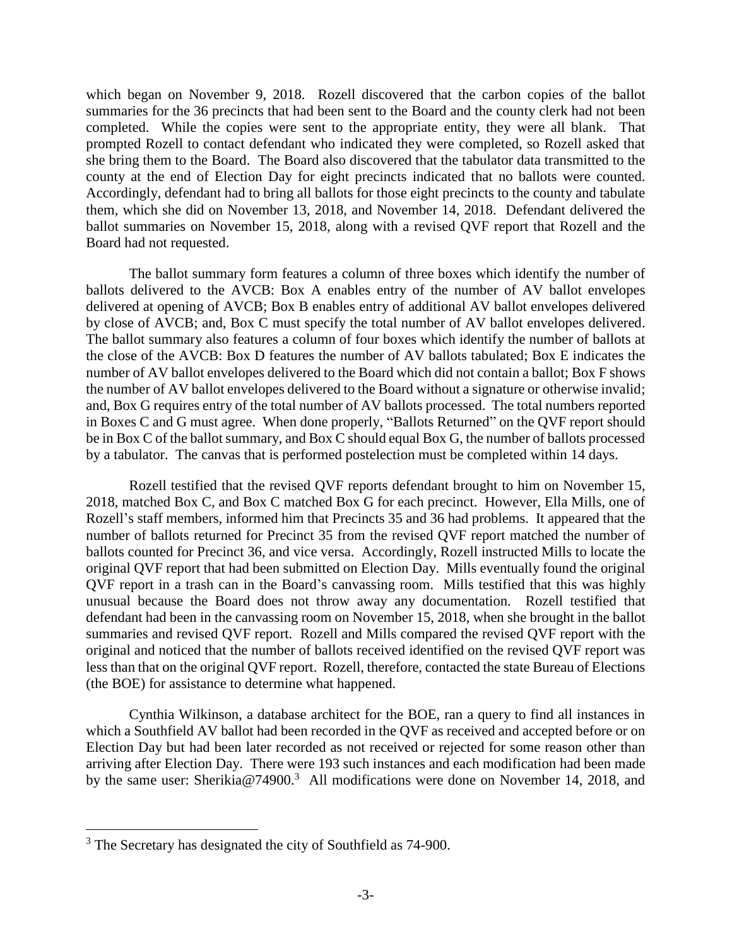which began on November 9, 2018. Rozell discovered that the carbon copies of the ballot summaries for the 36 precincts that had been sent to the Board and the county clerk had not been completed. While the copies were sent to the appropriate entity, they were all blank. That prompted Rozell to contact defendant who indicated they were completed, so Rozell asked that she bring them to the Board. The Board also discovered that the tabulator data transmitted to the county at the end of Election Day for eight precincts indicated that no ballots were counted. Accordingly, defendant had to bring all ballots for those eight precincts to the county and tabulate them, which she did on November 13, 2018, and November 14, 2018. Defendant delivered the ballot summaries on November 15, 2018, along with a revised QVF report that Rozell and the Board had not requested.

The ballot summary form features a column of three boxes which identify the number of ballots delivered to the AVCB: Box A enables entry of the number of AV ballot envelopes delivered at opening of AVCB; Box B enables entry of additional AV ballot envelopes delivered by close of AVCB; and, Box C must specify the total number of AV ballot envelopes delivered. The ballot summary also features a column of four boxes which identify the number of ballots at the close of the AVCB: Box D features the number of AV ballots tabulated; Box E indicates the number of AV ballot envelopes delivered to the Board which did not contain a ballot; Box F shows the number of AV ballot envelopes delivered to the Board without a signature or otherwise invalid; and, Box G requires entry of the total number of AV ballots processed. The total numbers reported in Boxes C and G must agree. When done properly, "Ballots Returned" on the QVF report should be in Box C of the ballot summary, and Box C should equal Box G, the number of ballots processed by a tabulator. The canvas that is performed postelection must be completed within 14 days.

Rozell testified that the revised QVF reports defendant brought to him on November 15, 2018, matched Box C, and Box C matched Box G for each precinct. However, Ella Mills, one of Rozell's staff members, informed him that Precincts 35 and 36 had problems. It appeared that the number of ballots returned for Precinct 35 from the revised QVF report matched the number of ballots counted for Precinct 36, and vice versa. Accordingly, Rozell instructed Mills to locate the original QVF report that had been submitted on Election Day. Mills eventually found the original QVF report in a trash can in the Board's canvassing room. Mills testified that this was highly unusual because the Board does not throw away any documentation. Rozell testified that defendant had been in the canvassing room on November 15, 2018, when she brought in the ballot summaries and revised QVF report. Rozell and Mills compared the revised QVF report with the original and noticed that the number of ballots received identified on the revised QVF report was less than that on the original QVF report. Rozell, therefore, contacted the state Bureau of Elections (the BOE) for assistance to determine what happened.

Cynthia Wilkinson, a database architect for the BOE, ran a query to find all instances in which a Southfield AV ballot had been recorded in the QVF as received and accepted before or on Election Day but had been later recorded as not received or rejected for some reason other than arriving after Election Day. There were 193 such instances and each modification had been made by the same user: Sherikia@74900.<sup>3</sup> All modifications were done on November 14, 2018, and

<sup>&</sup>lt;sup>3</sup> The Secretary has designated the city of Southfield as 74-900.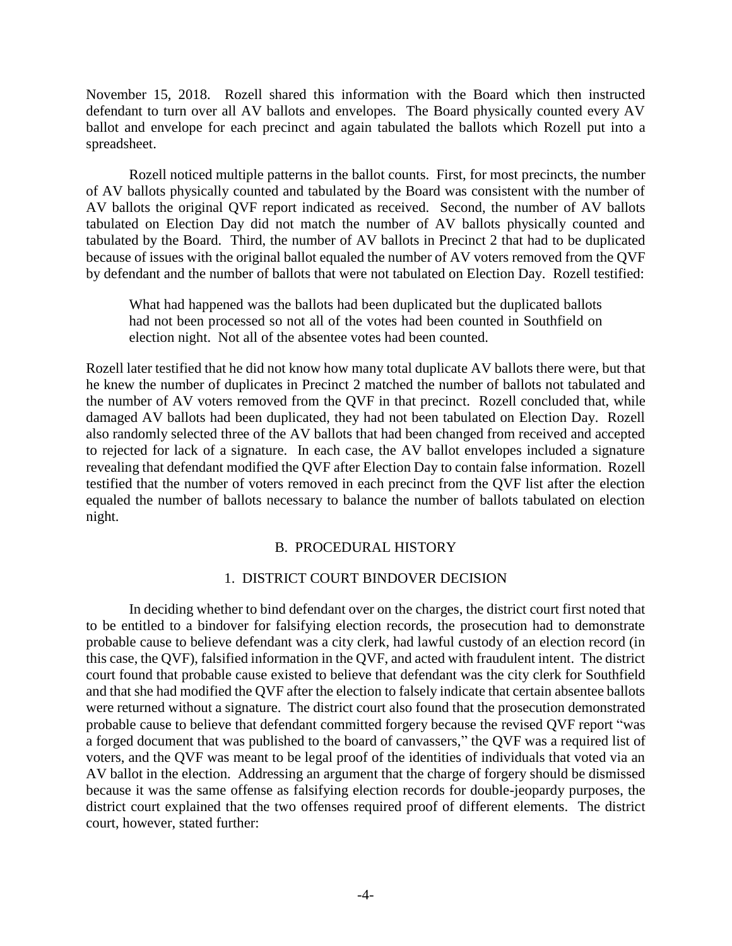November 15, 2018. Rozell shared this information with the Board which then instructed defendant to turn over all AV ballots and envelopes. The Board physically counted every AV ballot and envelope for each precinct and again tabulated the ballots which Rozell put into a spreadsheet.

Rozell noticed multiple patterns in the ballot counts. First, for most precincts, the number of AV ballots physically counted and tabulated by the Board was consistent with the number of AV ballots the original QVF report indicated as received. Second, the number of AV ballots tabulated on Election Day did not match the number of AV ballots physically counted and tabulated by the Board. Third, the number of AV ballots in Precinct 2 that had to be duplicated because of issues with the original ballot equaled the number of AV voters removed from the QVF by defendant and the number of ballots that were not tabulated on Election Day. Rozell testified:

What had happened was the ballots had been duplicated but the duplicated ballots had not been processed so not all of the votes had been counted in Southfield on election night. Not all of the absentee votes had been counted.

Rozell later testified that he did not know how many total duplicate AV ballots there were, but that he knew the number of duplicates in Precinct 2 matched the number of ballots not tabulated and the number of AV voters removed from the QVF in that precinct. Rozell concluded that, while damaged AV ballots had been duplicated, they had not been tabulated on Election Day. Rozell also randomly selected three of the AV ballots that had been changed from received and accepted to rejected for lack of a signature. In each case, the AV ballot envelopes included a signature revealing that defendant modified the QVF after Election Day to contain false information. Rozell testified that the number of voters removed in each precinct from the QVF list after the election equaled the number of ballots necessary to balance the number of ballots tabulated on election night.

#### B. PROCEDURAL HISTORY

#### 1. DISTRICT COURT BINDOVER DECISION

In deciding whether to bind defendant over on the charges, the district court first noted that to be entitled to a bindover for falsifying election records, the prosecution had to demonstrate probable cause to believe defendant was a city clerk, had lawful custody of an election record (in this case, the QVF), falsified information in the QVF, and acted with fraudulent intent. The district court found that probable cause existed to believe that defendant was the city clerk for Southfield and that she had modified the QVF after the election to falsely indicate that certain absentee ballots were returned without a signature. The district court also found that the prosecution demonstrated probable cause to believe that defendant committed forgery because the revised QVF report "was a forged document that was published to the board of canvassers," the QVF was a required list of voters, and the QVF was meant to be legal proof of the identities of individuals that voted via an AV ballot in the election. Addressing an argument that the charge of forgery should be dismissed because it was the same offense as falsifying election records for double-jeopardy purposes, the district court explained that the two offenses required proof of different elements. The district court, however, stated further: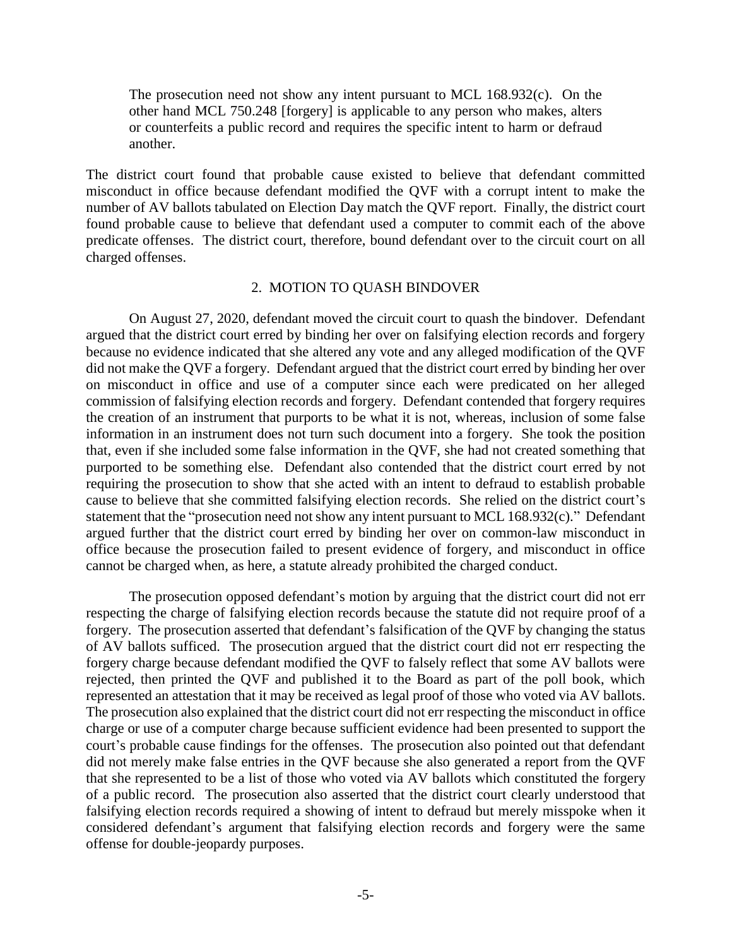The prosecution need not show any intent pursuant to MCL 168.932(c). On the other hand MCL 750.248 [forgery] is applicable to any person who makes, alters or counterfeits a public record and requires the specific intent to harm or defraud another.

The district court found that probable cause existed to believe that defendant committed misconduct in office because defendant modified the QVF with a corrupt intent to make the number of AV ballots tabulated on Election Day match the QVF report. Finally, the district court found probable cause to believe that defendant used a computer to commit each of the above predicate offenses. The district court, therefore, bound defendant over to the circuit court on all charged offenses.

#### 2. MOTION TO QUASH BINDOVER

On August 27, 2020, defendant moved the circuit court to quash the bindover. Defendant argued that the district court erred by binding her over on falsifying election records and forgery because no evidence indicated that she altered any vote and any alleged modification of the QVF did not make the QVF a forgery. Defendant argued that the district court erred by binding her over on misconduct in office and use of a computer since each were predicated on her alleged commission of falsifying election records and forgery. Defendant contended that forgery requires the creation of an instrument that purports to be what it is not, whereas, inclusion of some false information in an instrument does not turn such document into a forgery. She took the position that, even if she included some false information in the QVF, she had not created something that purported to be something else. Defendant also contended that the district court erred by not requiring the prosecution to show that she acted with an intent to defraud to establish probable cause to believe that she committed falsifying election records. She relied on the district court's statement that the "prosecution need not show any intent pursuant to MCL 168.932(c)." Defendant argued further that the district court erred by binding her over on common-law misconduct in office because the prosecution failed to present evidence of forgery, and misconduct in office cannot be charged when, as here, a statute already prohibited the charged conduct.

The prosecution opposed defendant's motion by arguing that the district court did not err respecting the charge of falsifying election records because the statute did not require proof of a forgery. The prosecution asserted that defendant's falsification of the QVF by changing the status of AV ballots sufficed. The prosecution argued that the district court did not err respecting the forgery charge because defendant modified the QVF to falsely reflect that some AV ballots were rejected, then printed the QVF and published it to the Board as part of the poll book, which represented an attestation that it may be received as legal proof of those who voted via AV ballots. The prosecution also explained that the district court did not err respecting the misconduct in office charge or use of a computer charge because sufficient evidence had been presented to support the court's probable cause findings for the offenses. The prosecution also pointed out that defendant did not merely make false entries in the QVF because she also generated a report from the QVF that she represented to be a list of those who voted via AV ballots which constituted the forgery of a public record. The prosecution also asserted that the district court clearly understood that falsifying election records required a showing of intent to defraud but merely misspoke when it considered defendant's argument that falsifying election records and forgery were the same offense for double-jeopardy purposes.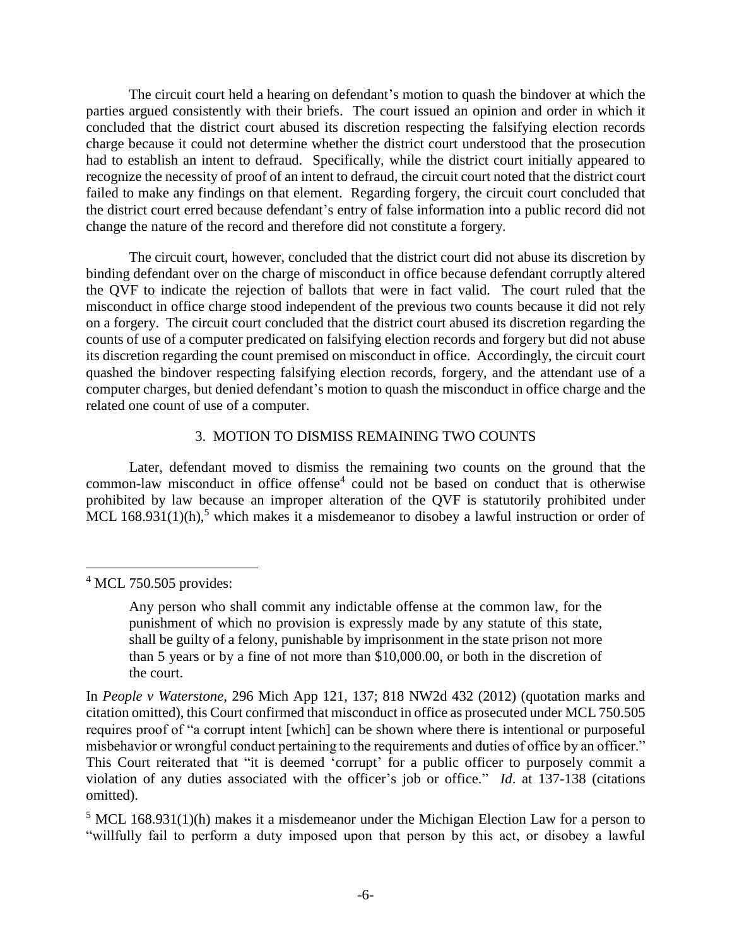The circuit court held a hearing on defendant's motion to quash the bindover at which the parties argued consistently with their briefs. The court issued an opinion and order in which it concluded that the district court abused its discretion respecting the falsifying election records charge because it could not determine whether the district court understood that the prosecution had to establish an intent to defraud. Specifically, while the district court initially appeared to recognize the necessity of proof of an intent to defraud, the circuit court noted that the district court failed to make any findings on that element. Regarding forgery, the circuit court concluded that the district court erred because defendant's entry of false information into a public record did not change the nature of the record and therefore did not constitute a forgery.

The circuit court, however, concluded that the district court did not abuse its discretion by binding defendant over on the charge of misconduct in office because defendant corruptly altered the QVF to indicate the rejection of ballots that were in fact valid. The court ruled that the misconduct in office charge stood independent of the previous two counts because it did not rely on a forgery. The circuit court concluded that the district court abused its discretion regarding the counts of use of a computer predicated on falsifying election records and forgery but did not abuse its discretion regarding the count premised on misconduct in office. Accordingly, the circuit court quashed the bindover respecting falsifying election records, forgery, and the attendant use of a computer charges, but denied defendant's motion to quash the misconduct in office charge and the related one count of use of a computer.

## 3. MOTION TO DISMISS REMAINING TWO COUNTS

Later, defendant moved to dismiss the remaining two counts on the ground that the common-law misconduct in office offense<sup>4</sup> could not be based on conduct that is otherwise prohibited by law because an improper alteration of the QVF is statutorily prohibited under MCL 168.931(1)(h),<sup>5</sup> which makes it a misdemeanor to disobey a lawful instruction or order of

<sup>5</sup> MCL 168.931(1)(h) makes it a misdemeanor under the Michigan Election Law for a person to "willfully fail to perform a duty imposed upon that person by this act, or disobey a lawful

 $\overline{a}$  $4$  MCL 750.505 provides:

Any person who shall commit any indictable offense at the common law, for the punishment of which no provision is expressly made by any statute of this state, shall be guilty of a felony, punishable by imprisonment in the state prison not more than 5 years or by a fine of not more than \$10,000.00, or both in the discretion of the court.

In *People v Waterstone*, 296 Mich App 121, 137; 818 NW2d 432 (2012) (quotation marks and citation omitted), this Court confirmed that misconduct in office as prosecuted under MCL 750.505 requires proof of "a corrupt intent [which] can be shown where there is intentional or purposeful misbehavior or wrongful conduct pertaining to the requirements and duties of office by an officer." This Court reiterated that "it is deemed 'corrupt' for a public officer to purposely commit a violation of any duties associated with the officer's job or office." *Id*. at 137-138 (citations omitted).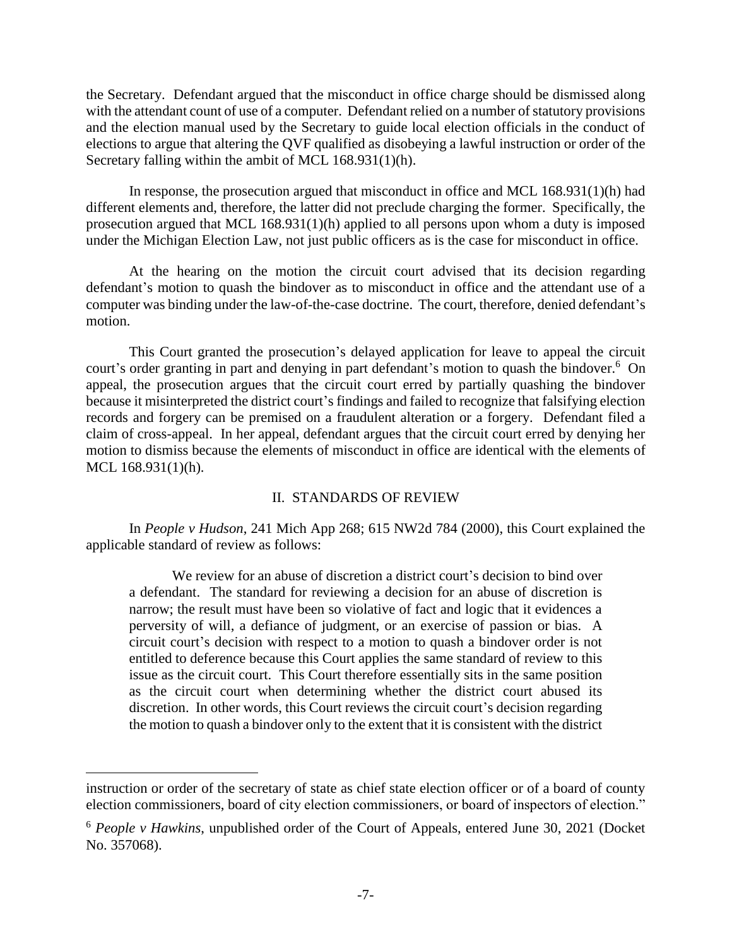the Secretary. Defendant argued that the misconduct in office charge should be dismissed along with the attendant count of use of a computer. Defendant relied on a number of statutory provisions and the election manual used by the Secretary to guide local election officials in the conduct of elections to argue that altering the QVF qualified as disobeying a lawful instruction or order of the Secretary falling within the ambit of MCL 168.931(1)(h).

In response, the prosecution argued that misconduct in office and MCL 168.931(1)(h) had different elements and, therefore, the latter did not preclude charging the former. Specifically, the prosecution argued that MCL 168.931(1)(h) applied to all persons upon whom a duty is imposed under the Michigan Election Law, not just public officers as is the case for misconduct in office.

At the hearing on the motion the circuit court advised that its decision regarding defendant's motion to quash the bindover as to misconduct in office and the attendant use of a computer was binding under the law-of-the-case doctrine. The court, therefore, denied defendant's motion.

This Court granted the prosecution's delayed application for leave to appeal the circuit court's order granting in part and denying in part defendant's motion to quash the bindover.<sup>6</sup> On appeal, the prosecution argues that the circuit court erred by partially quashing the bindover because it misinterpreted the district court's findings and failed to recognize that falsifying election records and forgery can be premised on a fraudulent alteration or a forgery. Defendant filed a claim of cross-appeal. In her appeal, defendant argues that the circuit court erred by denying her motion to dismiss because the elements of misconduct in office are identical with the elements of MCL 168.931(1)(h).

### II. STANDARDS OF REVIEW

In *People v Hudson*, 241 Mich App 268; 615 NW2d 784 (2000), this Court explained the applicable standard of review as follows:

We review for an abuse of discretion a district court's decision to bind over a defendant. The standard for reviewing a decision for an abuse of discretion is narrow; the result must have been so violative of fact and logic that it evidences a perversity of will, a defiance of judgment, or an exercise of passion or bias. A circuit court's decision with respect to a motion to quash a bindover order is not entitled to deference because this Court applies the same standard of review to this issue as the circuit court. This Court therefore essentially sits in the same position as the circuit court when determining whether the district court abused its discretion. In other words, this Court reviews the circuit court's decision regarding the motion to quash a bindover only to the extent that it is consistent with the district

instruction or order of the secretary of state as chief state election officer or of a board of county election commissioners, board of city election commissioners, or board of inspectors of election."

<sup>6</sup> *People v Hawkins*, unpublished order of the Court of Appeals, entered June 30, 2021 (Docket No. 357068).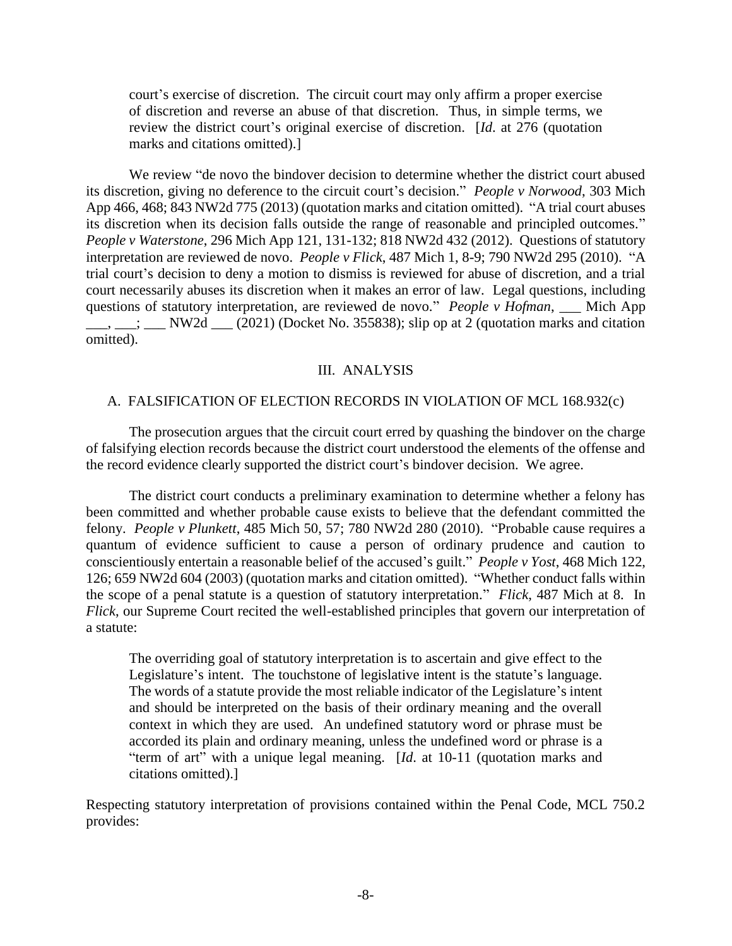court's exercise of discretion. The circuit court may only affirm a proper exercise of discretion and reverse an abuse of that discretion. Thus, in simple terms, we review the district court's original exercise of discretion. [*Id*. at 276 (quotation marks and citations omitted).]

We review "de novo the bindover decision to determine whether the district court abused its discretion, giving no deference to the circuit court's decision." *People v Norwood*, 303 Mich App 466, 468; 843 NW2d 775 (2013) (quotation marks and citation omitted). "A trial court abuses its discretion when its decision falls outside the range of reasonable and principled outcomes." *People v Waterstone*, 296 Mich App 121, 131-132; 818 NW2d 432 (2012). Questions of statutory interpretation are reviewed de novo. *People v Flick*, 487 Mich 1, 8-9; 790 NW2d 295 (2010). "A trial court's decision to deny a motion to dismiss is reviewed for abuse of discretion, and a trial court necessarily abuses its discretion when it makes an error of law. Legal questions, including questions of statutory interpretation, are reviewed de novo." *People v Hofman*, \_\_ Mich App  $\underline{\hspace{1cm}}$ ,  $\underline{\hspace{1cm}}$  NW2d  $\underline{\hspace{1cm}}$  (2021) (Docket No. 355838); slip op at 2 (quotation marks and citation omitted).

### III. ANALYSIS

#### A. FALSIFICATION OF ELECTION RECORDS IN VIOLATION OF MCL 168.932(c)

The prosecution argues that the circuit court erred by quashing the bindover on the charge of falsifying election records because the district court understood the elements of the offense and the record evidence clearly supported the district court's bindover decision. We agree.

The district court conducts a preliminary examination to determine whether a felony has been committed and whether probable cause exists to believe that the defendant committed the felony. *People v Plunkett*, 485 Mich 50, 57; 780 NW2d 280 (2010). "Probable cause requires a quantum of evidence sufficient to cause a person of ordinary prudence and caution to conscientiously entertain a reasonable belief of the accused's guilt." *People v Yost*, 468 Mich 122, 126; 659 NW2d 604 (2003) (quotation marks and citation omitted). "Whether conduct falls within the scope of a penal statute is a question of statutory interpretation." *Flick*, 487 Mich at 8. In *Flick*, our Supreme Court recited the well-established principles that govern our interpretation of a statute:

The overriding goal of statutory interpretation is to ascertain and give effect to the Legislature's intent. The touchstone of legislative intent is the statute's language. The words of a statute provide the most reliable indicator of the Legislature's intent and should be interpreted on the basis of their ordinary meaning and the overall context in which they are used. An undefined statutory word or phrase must be accorded its plain and ordinary meaning, unless the undefined word or phrase is a "term of art" with a unique legal meaning. [*Id*. at 10-11 (quotation marks and citations omitted).]

Respecting statutory interpretation of provisions contained within the Penal Code, MCL 750.2 provides: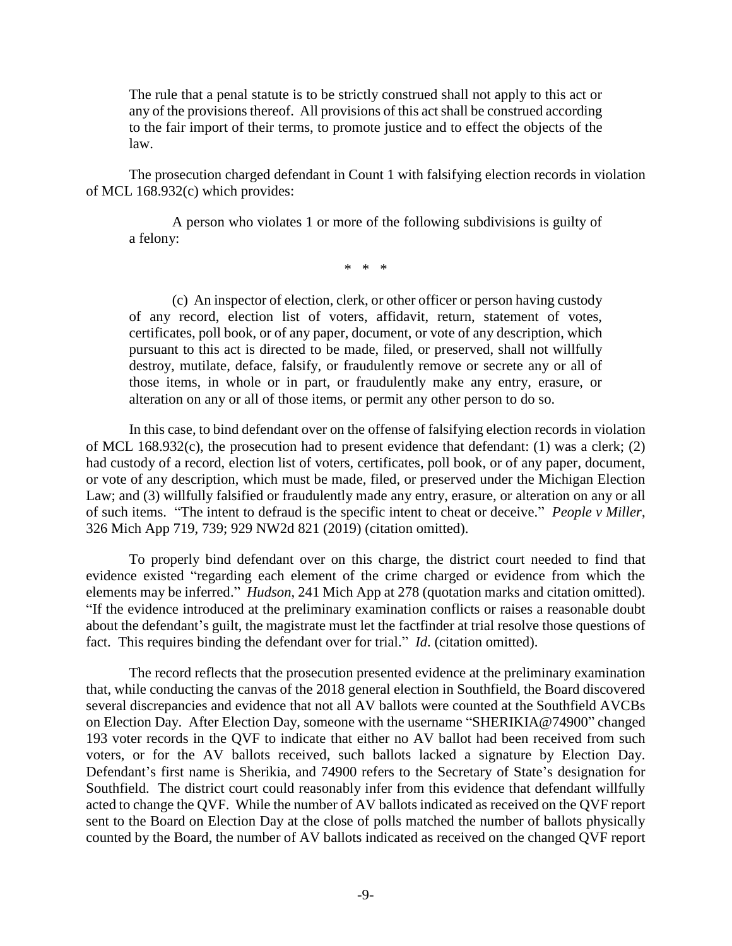The rule that a penal statute is to be strictly construed shall not apply to this act or any of the provisions thereof. All provisions of this act shall be construed according to the fair import of their terms, to promote justice and to effect the objects of the law.

The prosecution charged defendant in Count 1 with falsifying election records in violation of MCL 168.932(c) which provides:

A person who violates 1 or more of the following subdivisions is guilty of a felony:

\* \* \*

(c) An inspector of election, clerk, or other officer or person having custody of any record, election list of voters, affidavit, return, statement of votes, certificates, poll book, or of any paper, document, or vote of any description, which pursuant to this act is directed to be made, filed, or preserved, shall not willfully destroy, mutilate, deface, falsify, or fraudulently remove or secrete any or all of those items, in whole or in part, or fraudulently make any entry, erasure, or alteration on any or all of those items, or permit any other person to do so.

In this case, to bind defendant over on the offense of falsifying election records in violation of MCL 168.932(c), the prosecution had to present evidence that defendant: (1) was a clerk; (2) had custody of a record, election list of voters, certificates, poll book, or of any paper, document, or vote of any description, which must be made, filed, or preserved under the Michigan Election Law; and (3) willfully falsified or fraudulently made any entry, erasure, or alteration on any or all of such items. "The intent to defraud is the specific intent to cheat or deceive." *People v Miller*, 326 Mich App 719, 739; 929 NW2d 821 (2019) (citation omitted).

To properly bind defendant over on this charge, the district court needed to find that evidence existed "regarding each element of the crime charged or evidence from which the elements may be inferred." *Hudson*, 241 Mich App at 278 (quotation marks and citation omitted). "If the evidence introduced at the preliminary examination conflicts or raises a reasonable doubt about the defendant's guilt, the magistrate must let the factfinder at trial resolve those questions of fact. This requires binding the defendant over for trial." *Id*. (citation omitted).

The record reflects that the prosecution presented evidence at the preliminary examination that, while conducting the canvas of the 2018 general election in Southfield, the Board discovered several discrepancies and evidence that not all AV ballots were counted at the Southfield AVCBs on Election Day. After Election Day, someone with the username "SHERIKIA@74900" changed 193 voter records in the QVF to indicate that either no AV ballot had been received from such voters, or for the AV ballots received, such ballots lacked a signature by Election Day. Defendant's first name is Sherikia, and 74900 refers to the Secretary of State's designation for Southfield. The district court could reasonably infer from this evidence that defendant willfully acted to change the QVF. While the number of AV ballots indicated as received on the QVF report sent to the Board on Election Day at the close of polls matched the number of ballots physically counted by the Board, the number of AV ballots indicated as received on the changed QVF report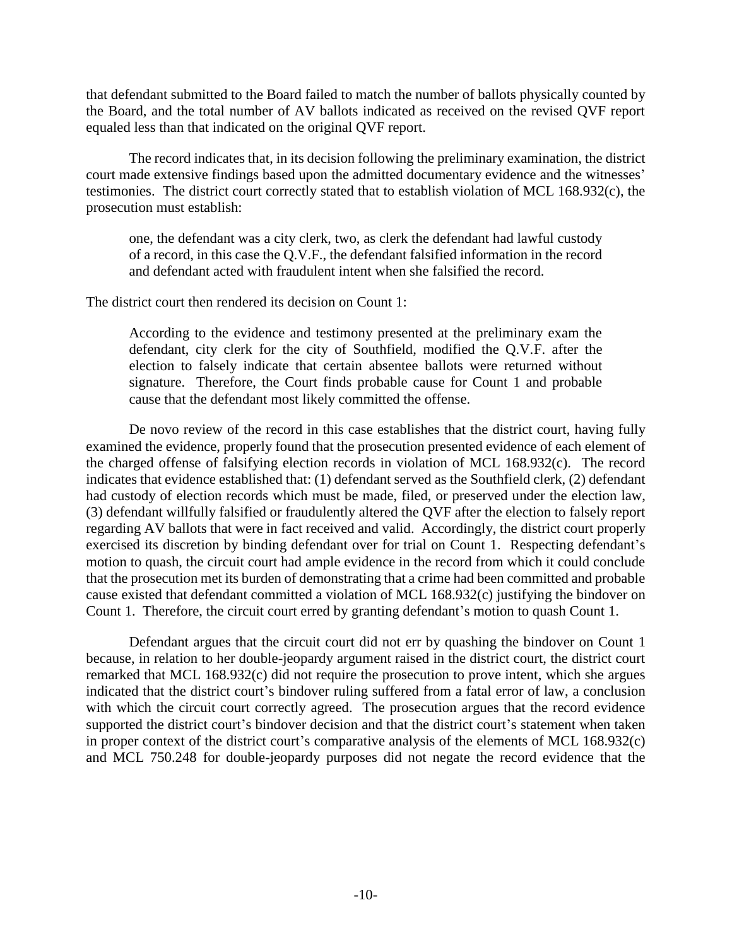that defendant submitted to the Board failed to match the number of ballots physically counted by the Board, and the total number of AV ballots indicated as received on the revised QVF report equaled less than that indicated on the original QVF report.

The record indicates that, in its decision following the preliminary examination, the district court made extensive findings based upon the admitted documentary evidence and the witnesses' testimonies. The district court correctly stated that to establish violation of MCL 168.932(c), the prosecution must establish:

one, the defendant was a city clerk, two, as clerk the defendant had lawful custody of a record, in this case the Q.V.F., the defendant falsified information in the record and defendant acted with fraudulent intent when she falsified the record.

The district court then rendered its decision on Count 1:

According to the evidence and testimony presented at the preliminary exam the defendant, city clerk for the city of Southfield, modified the Q.V.F. after the election to falsely indicate that certain absentee ballots were returned without signature. Therefore, the Court finds probable cause for Count 1 and probable cause that the defendant most likely committed the offense.

De novo review of the record in this case establishes that the district court, having fully examined the evidence, properly found that the prosecution presented evidence of each element of the charged offense of falsifying election records in violation of MCL 168.932(c). The record indicates that evidence established that: (1) defendant served as the Southfield clerk, (2) defendant had custody of election records which must be made, filed, or preserved under the election law, (3) defendant willfully falsified or fraudulently altered the QVF after the election to falsely report regarding AV ballots that were in fact received and valid. Accordingly, the district court properly exercised its discretion by binding defendant over for trial on Count 1. Respecting defendant's motion to quash, the circuit court had ample evidence in the record from which it could conclude that the prosecution met its burden of demonstrating that a crime had been committed and probable cause existed that defendant committed a violation of MCL 168.932(c) justifying the bindover on Count 1. Therefore, the circuit court erred by granting defendant's motion to quash Count 1.

Defendant argues that the circuit court did not err by quashing the bindover on Count 1 because, in relation to her double-jeopardy argument raised in the district court, the district court remarked that MCL 168.932(c) did not require the prosecution to prove intent, which she argues indicated that the district court's bindover ruling suffered from a fatal error of law, a conclusion with which the circuit court correctly agreed. The prosecution argues that the record evidence supported the district court's bindover decision and that the district court's statement when taken in proper context of the district court's comparative analysis of the elements of MCL 168.932(c) and MCL 750.248 for double-jeopardy purposes did not negate the record evidence that the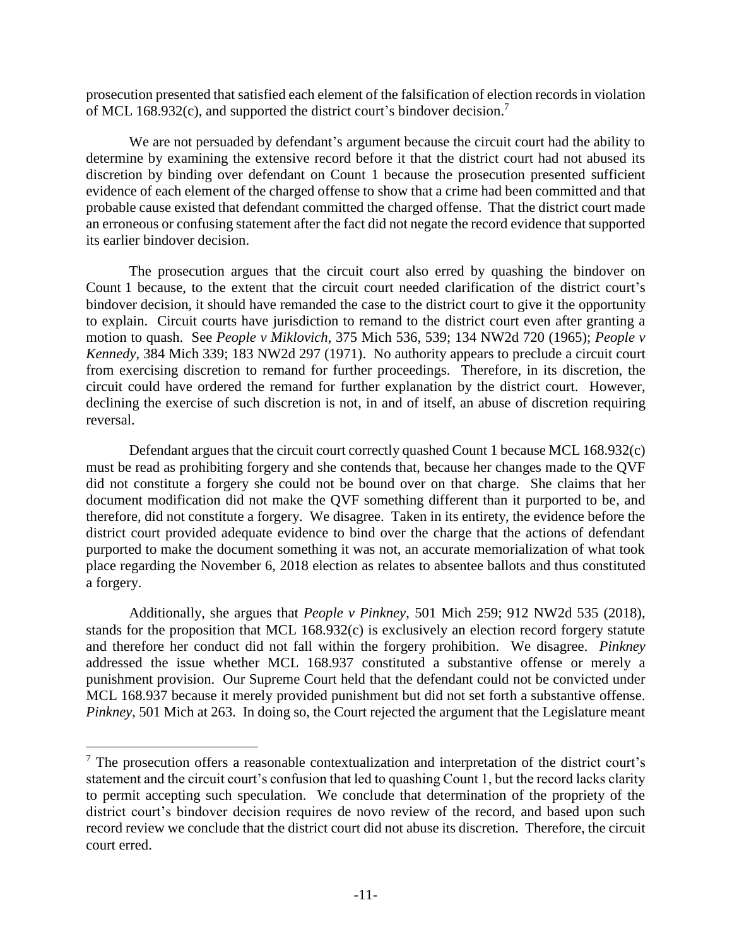prosecution presented that satisfied each element of the falsification of election records in violation of MCL 168.932(c), and supported the district court's bindover decision.<sup>7</sup>

We are not persuaded by defendant's argument because the circuit court had the ability to determine by examining the extensive record before it that the district court had not abused its discretion by binding over defendant on Count 1 because the prosecution presented sufficient evidence of each element of the charged offense to show that a crime had been committed and that probable cause existed that defendant committed the charged offense. That the district court made an erroneous or confusing statement after the fact did not negate the record evidence that supported its earlier bindover decision.

The prosecution argues that the circuit court also erred by quashing the bindover on Count 1 because, to the extent that the circuit court needed clarification of the district court's bindover decision, it should have remanded the case to the district court to give it the opportunity to explain. Circuit courts have jurisdiction to remand to the district court even after granting a motion to quash. See *People v Miklovich*, 375 Mich 536, 539; 134 NW2d 720 (1965); *People v Kennedy*, 384 Mich 339; 183 NW2d 297 (1971). No authority appears to preclude a circuit court from exercising discretion to remand for further proceedings. Therefore, in its discretion, the circuit could have ordered the remand for further explanation by the district court. However, declining the exercise of such discretion is not, in and of itself, an abuse of discretion requiring reversal.

Defendant argues that the circuit court correctly quashed Count 1 because MCL 168.932(c) must be read as prohibiting forgery and she contends that, because her changes made to the QVF did not constitute a forgery she could not be bound over on that charge. She claims that her document modification did not make the QVF something different than it purported to be, and therefore, did not constitute a forgery. We disagree. Taken in its entirety, the evidence before the district court provided adequate evidence to bind over the charge that the actions of defendant purported to make the document something it was not, an accurate memorialization of what took place regarding the November 6, 2018 election as relates to absentee ballots and thus constituted a forgery.

Additionally, she argues that *People v Pinkney*, 501 Mich 259; 912 NW2d 535 (2018), stands for the proposition that MCL 168.932(c) is exclusively an election record forgery statute and therefore her conduct did not fall within the forgery prohibition. We disagree. *Pinkney* addressed the issue whether MCL 168.937 constituted a substantive offense or merely a punishment provision. Our Supreme Court held that the defendant could not be convicted under MCL 168.937 because it merely provided punishment but did not set forth a substantive offense. *Pinkney*, 501 Mich at 263. In doing so, the Court rejected the argument that the Legislature meant

 $<sup>7</sup>$  The prosecution offers a reasonable contextualization and interpretation of the district court's</sup> statement and the circuit court's confusion that led to quashing Count 1, but the record lacks clarity to permit accepting such speculation. We conclude that determination of the propriety of the district court's bindover decision requires de novo review of the record, and based upon such record review we conclude that the district court did not abuse its discretion. Therefore, the circuit court erred.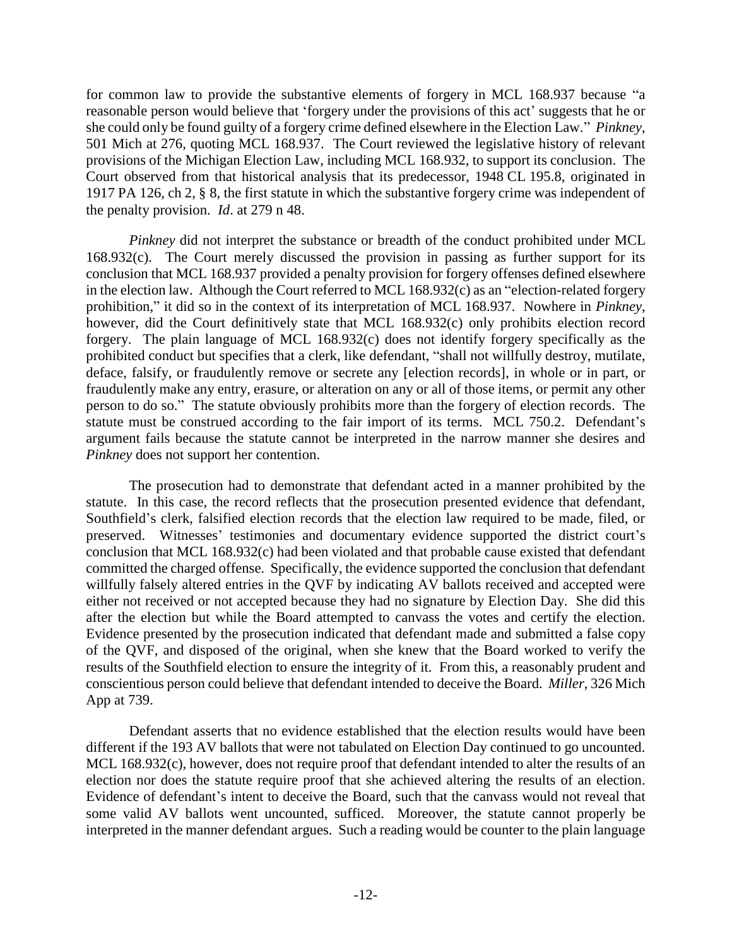for common law to provide the substantive elements of forgery in MCL 168.937 because "a reasonable person would believe that 'forgery under the provisions of this act' suggests that he or she could only be found guilty of a forgery crime defined elsewhere in the Election Law." *Pinkney*, 501 Mich at 276, quoting MCL 168.937. The Court reviewed the legislative history of relevant provisions of the Michigan Election Law, including MCL 168.932, to support its conclusion. The Court observed from that historical analysis that its predecessor, 1948 CL 195.8, originated in 1917 PA 126, ch 2, § 8, the first statute in which the substantive forgery crime was independent of the penalty provision. *Id*. at 279 n 48.

*Pinkney* did not interpret the substance or breadth of the conduct prohibited under MCL 168.932(c). The Court merely discussed the provision in passing as further support for its conclusion that MCL 168.937 provided a penalty provision for forgery offenses defined elsewhere in the election law. Although the Court referred to MCL 168.932(c) as an "election-related forgery prohibition," it did so in the context of its interpretation of MCL 168.937. Nowhere in *Pinkney*, however, did the Court definitively state that MCL 168.932(c) only prohibits election record forgery. The plain language of MCL 168.932(c) does not identify forgery specifically as the prohibited conduct but specifies that a clerk, like defendant, "shall not willfully destroy, mutilate, deface, falsify, or fraudulently remove or secrete any [election records], in whole or in part, or fraudulently make any entry, erasure, or alteration on any or all of those items, or permit any other person to do so." The statute obviously prohibits more than the forgery of election records. The statute must be construed according to the fair import of its terms. MCL 750.2. Defendant's argument fails because the statute cannot be interpreted in the narrow manner she desires and *Pinkney* does not support her contention.

The prosecution had to demonstrate that defendant acted in a manner prohibited by the statute. In this case, the record reflects that the prosecution presented evidence that defendant, Southfield's clerk, falsified election records that the election law required to be made, filed, or preserved. Witnesses' testimonies and documentary evidence supported the district court's conclusion that MCL 168.932(c) had been violated and that probable cause existed that defendant committed the charged offense. Specifically, the evidence supported the conclusion that defendant willfully falsely altered entries in the QVF by indicating AV ballots received and accepted were either not received or not accepted because they had no signature by Election Day. She did this after the election but while the Board attempted to canvass the votes and certify the election. Evidence presented by the prosecution indicated that defendant made and submitted a false copy of the QVF, and disposed of the original, when she knew that the Board worked to verify the results of the Southfield election to ensure the integrity of it. From this, a reasonably prudent and conscientious person could believe that defendant intended to deceive the Board. *Miller*, 326 Mich App at 739.

Defendant asserts that no evidence established that the election results would have been different if the 193 AV ballots that were not tabulated on Election Day continued to go uncounted. MCL 168.932(c), however, does not require proof that defendant intended to alter the results of an election nor does the statute require proof that she achieved altering the results of an election. Evidence of defendant's intent to deceive the Board, such that the canvass would not reveal that some valid AV ballots went uncounted, sufficed. Moreover, the statute cannot properly be interpreted in the manner defendant argues. Such a reading would be counter to the plain language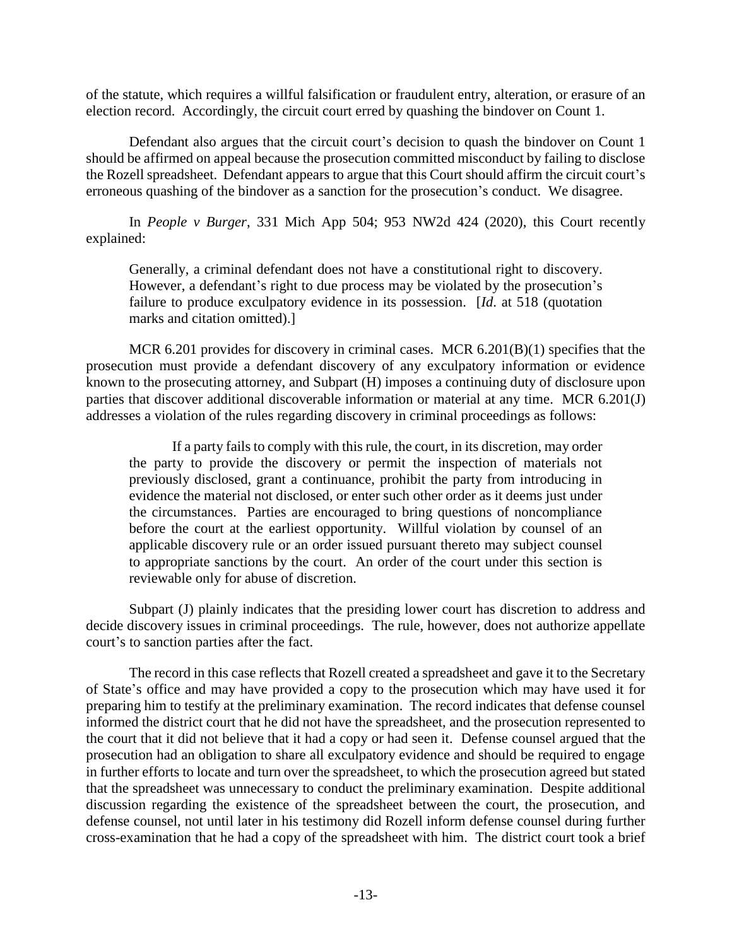of the statute, which requires a willful falsification or fraudulent entry, alteration, or erasure of an election record. Accordingly, the circuit court erred by quashing the bindover on Count 1.

Defendant also argues that the circuit court's decision to quash the bindover on Count 1 should be affirmed on appeal because the prosecution committed misconduct by failing to disclose the Rozell spreadsheet. Defendant appears to argue that this Court should affirm the circuit court's erroneous quashing of the bindover as a sanction for the prosecution's conduct. We disagree.

In *People v Burger*, 331 Mich App 504; 953 NW2d 424 (2020), this Court recently explained:

Generally, a criminal defendant does not have a constitutional right to discovery. However, a defendant's right to due process may be violated by the prosecution's failure to produce exculpatory evidence in its possession. [*Id*. at 518 (quotation marks and citation omitted).]

MCR 6.201 provides for discovery in criminal cases. MCR 6.201(B)(1) specifies that the prosecution must provide a defendant discovery of any exculpatory information or evidence known to the prosecuting attorney, and Subpart (H) imposes a continuing duty of disclosure upon parties that discover additional discoverable information or material at any time. MCR 6.201(J) addresses a violation of the rules regarding discovery in criminal proceedings as follows:

If a party fails to comply with this rule, the court, in its discretion, may order the party to provide the discovery or permit the inspection of materials not previously disclosed, grant a continuance, prohibit the party from introducing in evidence the material not disclosed, or enter such other order as it deems just under the circumstances. Parties are encouraged to bring questions of noncompliance before the court at the earliest opportunity. Willful violation by counsel of an applicable discovery rule or an order issued pursuant thereto may subject counsel to appropriate sanctions by the court. An order of the court under this section is reviewable only for abuse of discretion.

Subpart (J) plainly indicates that the presiding lower court has discretion to address and decide discovery issues in criminal proceedings. The rule, however, does not authorize appellate court's to sanction parties after the fact.

The record in this case reflects that Rozell created a spreadsheet and gave it to the Secretary of State's office and may have provided a copy to the prosecution which may have used it for preparing him to testify at the preliminary examination. The record indicates that defense counsel informed the district court that he did not have the spreadsheet, and the prosecution represented to the court that it did not believe that it had a copy or had seen it. Defense counsel argued that the prosecution had an obligation to share all exculpatory evidence and should be required to engage in further efforts to locate and turn over the spreadsheet, to which the prosecution agreed but stated that the spreadsheet was unnecessary to conduct the preliminary examination. Despite additional discussion regarding the existence of the spreadsheet between the court, the prosecution, and defense counsel, not until later in his testimony did Rozell inform defense counsel during further cross-examination that he had a copy of the spreadsheet with him. The district court took a brief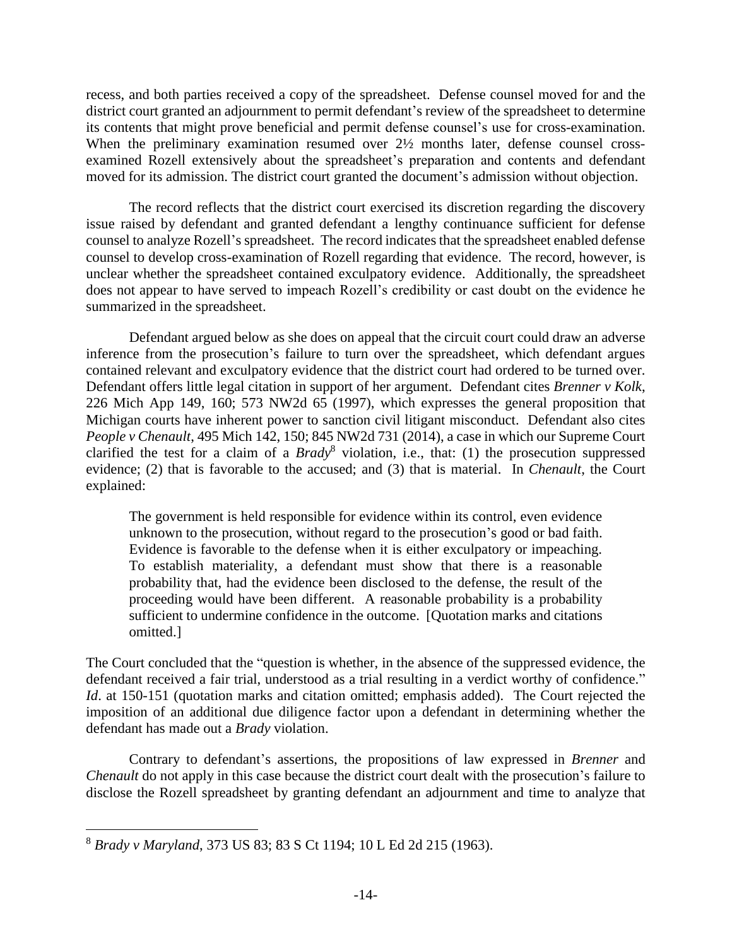recess, and both parties received a copy of the spreadsheet. Defense counsel moved for and the district court granted an adjournment to permit defendant's review of the spreadsheet to determine its contents that might prove beneficial and permit defense counsel's use for cross-examination. When the preliminary examination resumed over  $2\frac{1}{2}$  months later, defense counsel crossexamined Rozell extensively about the spreadsheet's preparation and contents and defendant moved for its admission. The district court granted the document's admission without objection.

The record reflects that the district court exercised its discretion regarding the discovery issue raised by defendant and granted defendant a lengthy continuance sufficient for defense counsel to analyze Rozell's spreadsheet. The record indicates that the spreadsheet enabled defense counsel to develop cross-examination of Rozell regarding that evidence. The record, however, is unclear whether the spreadsheet contained exculpatory evidence. Additionally, the spreadsheet does not appear to have served to impeach Rozell's credibility or cast doubt on the evidence he summarized in the spreadsheet.

Defendant argued below as she does on appeal that the circuit court could draw an adverse inference from the prosecution's failure to turn over the spreadsheet, which defendant argues contained relevant and exculpatory evidence that the district court had ordered to be turned over. Defendant offers little legal citation in support of her argument. Defendant cites *Brenner v Kolk*, 226 Mich App 149, 160; 573 NW2d  $65$  (1997), which expresses the general proposition that Michigan courts have inherent power to sanction civil litigant misconduct. Defendant also cites *People v Chenault*, 495 Mich 142, 150; 845 NW2d 731 (2014), a case in which our Supreme Court clarified the test for a claim of a *Brady*<sup>8</sup> violation, i.e., that: (1) the prosecution suppressed evidence; (2) that is favorable to the accused; and (3) that is material. In *Chenault*, the Court explained:

The government is held responsible for evidence within its control, even evidence unknown to the prosecution, without regard to the prosecution's good or bad faith. Evidence is favorable to the defense when it is either exculpatory or impeaching. To establish materiality, a defendant must show that there is a reasonable probability that, had the evidence been disclosed to the defense, the result of the proceeding would have been different. A reasonable probability is a probability sufficient to undermine confidence in the outcome. [Quotation marks and citations omitted.]

The Court concluded that the "question is whether, in the absence of the suppressed evidence, the defendant received a fair trial, understood as a trial resulting in a verdict worthy of confidence." *Id.* at 150-151 (quotation marks and citation omitted; emphasis added). The Court rejected the imposition of an additional due diligence factor upon a defendant in determining whether the defendant has made out a *Brady* violation.

Contrary to defendant's assertions, the propositions of law expressed in *Brenner* and *Chenault* do not apply in this case because the district court dealt with the prosecution's failure to disclose the Rozell spreadsheet by granting defendant an adjournment and time to analyze that

<sup>8</sup> *Brady v Maryland*, 373 US 83; 83 S Ct 1194; 10 L Ed 2d 215 (1963).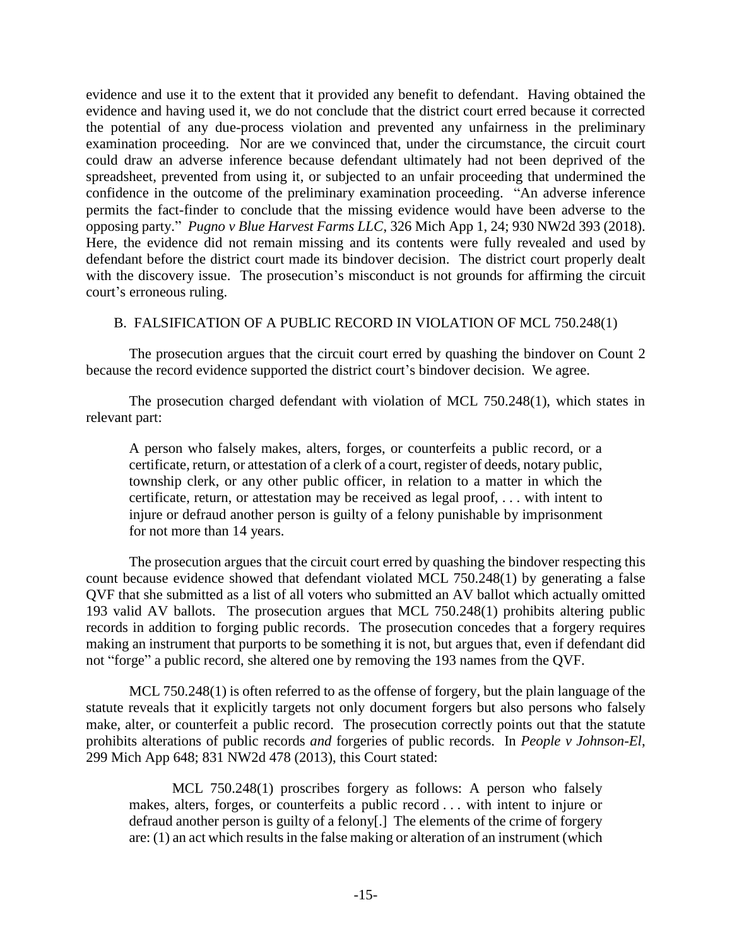evidence and use it to the extent that it provided any benefit to defendant. Having obtained the evidence and having used it, we do not conclude that the district court erred because it corrected the potential of any due-process violation and prevented any unfairness in the preliminary examination proceeding. Nor are we convinced that, under the circumstance, the circuit court could draw an adverse inference because defendant ultimately had not been deprived of the spreadsheet, prevented from using it, or subjected to an unfair proceeding that undermined the confidence in the outcome of the preliminary examination proceeding. "An adverse inference permits the fact-finder to conclude that the missing evidence would have been adverse to the opposing party." *Pugno v Blue Harvest Farms LLC*, 326 Mich App 1, 24; 930 NW2d 393 (2018). Here, the evidence did not remain missing and its contents were fully revealed and used by defendant before the district court made its bindover decision. The district court properly dealt with the discovery issue. The prosecution's misconduct is not grounds for affirming the circuit court's erroneous ruling.

### B. FALSIFICATION OF A PUBLIC RECORD IN VIOLATION OF MCL 750.248(1)

The prosecution argues that the circuit court erred by quashing the bindover on Count 2 because the record evidence supported the district court's bindover decision. We agree.

The prosecution charged defendant with violation of MCL 750.248(1), which states in relevant part:

A person who falsely makes, alters, forges, or counterfeits a public record, or a certificate, return, or attestation of a clerk of a court, register of deeds, notary public, township clerk, or any other public officer, in relation to a matter in which the certificate, return, or attestation may be received as legal proof, . . . with intent to injure or defraud another person is guilty of a felony punishable by imprisonment for not more than 14 years.

The prosecution argues that the circuit court erred by quashing the bindover respecting this count because evidence showed that defendant violated MCL 750.248(1) by generating a false QVF that she submitted as a list of all voters who submitted an AV ballot which actually omitted 193 valid AV ballots. The prosecution argues that MCL 750.248(1) prohibits altering public records in addition to forging public records. The prosecution concedes that a forgery requires making an instrument that purports to be something it is not, but argues that, even if defendant did not "forge" a public record, she altered one by removing the 193 names from the QVF.

MCL 750.248(1) is often referred to as the offense of forgery, but the plain language of the statute reveals that it explicitly targets not only document forgers but also persons who falsely make, alter, or counterfeit a public record. The prosecution correctly points out that the statute prohibits alterations of public records *and* forgeries of public records. In *People v Johnson-El*, 299 Mich App 648; 831 NW2d 478 (2013), this Court stated:

MCL 750.248(1) proscribes forgery as follows: A person who falsely makes, alters, forges, or counterfeits a public record . . . with intent to injure or defraud another person is guilty of a felony[.] The elements of the crime of forgery are: (1) an act which results in the false making or alteration of an instrument (which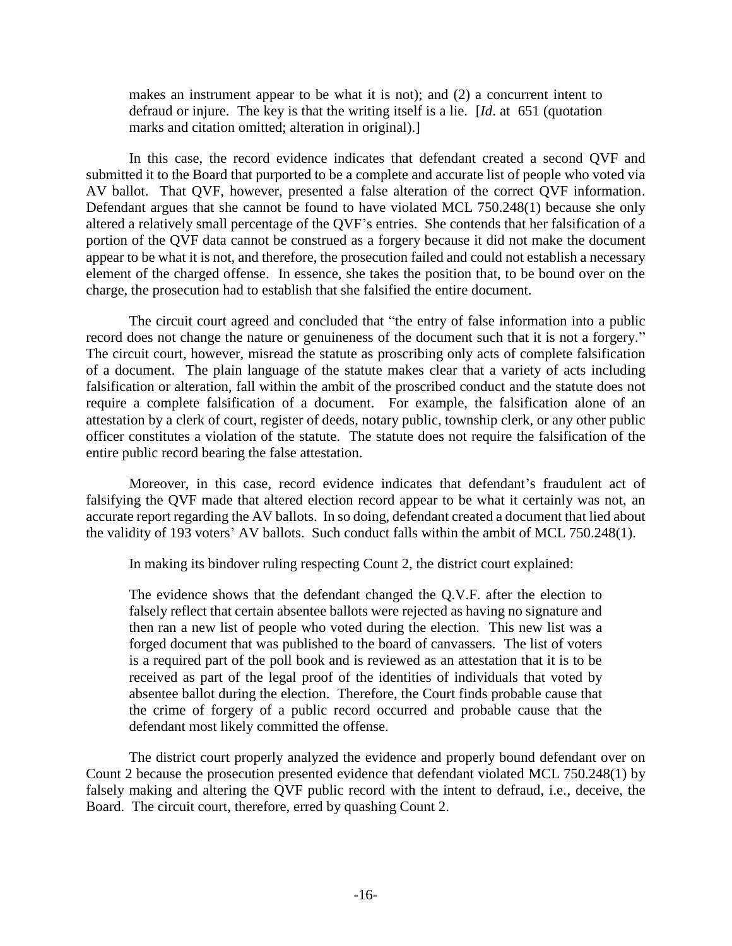makes an instrument appear to be what it is not); and (2) a concurrent intent to defraud or injure. The key is that the writing itself is a lie. [*Id*. at 651 (quotation marks and citation omitted; alteration in original).]

In this case, the record evidence indicates that defendant created a second QVF and submitted it to the Board that purported to be a complete and accurate list of people who voted via AV ballot. That QVF, however, presented a false alteration of the correct QVF information. Defendant argues that she cannot be found to have violated MCL 750.248(1) because she only altered a relatively small percentage of the QVF's entries. She contends that her falsification of a portion of the QVF data cannot be construed as a forgery because it did not make the document appear to be what it is not, and therefore, the prosecution failed and could not establish a necessary element of the charged offense. In essence, she takes the position that, to be bound over on the charge, the prosecution had to establish that she falsified the entire document.

The circuit court agreed and concluded that "the entry of false information into a public record does not change the nature or genuineness of the document such that it is not a forgery." The circuit court, however, misread the statute as proscribing only acts of complete falsification of a document. The plain language of the statute makes clear that a variety of acts including falsification or alteration, fall within the ambit of the proscribed conduct and the statute does not require a complete falsification of a document. For example, the falsification alone of an attestation by a clerk of court, register of deeds, notary public, township clerk, or any other public officer constitutes a violation of the statute. The statute does not require the falsification of the entire public record bearing the false attestation.

Moreover, in this case, record evidence indicates that defendant's fraudulent act of falsifying the QVF made that altered election record appear to be what it certainly was not, an accurate report regarding the AV ballots. In so doing, defendant created a document that lied about the validity of 193 voters' AV ballots. Such conduct falls within the ambit of MCL 750.248(1).

In making its bindover ruling respecting Count 2, the district court explained:

The evidence shows that the defendant changed the Q.V.F. after the election to falsely reflect that certain absentee ballots were rejected as having no signature and then ran a new list of people who voted during the election. This new list was a forged document that was published to the board of canvassers. The list of voters is a required part of the poll book and is reviewed as an attestation that it is to be received as part of the legal proof of the identities of individuals that voted by absentee ballot during the election. Therefore, the Court finds probable cause that the crime of forgery of a public record occurred and probable cause that the defendant most likely committed the offense.

The district court properly analyzed the evidence and properly bound defendant over on Count 2 because the prosecution presented evidence that defendant violated MCL 750.248(1) by falsely making and altering the QVF public record with the intent to defraud, i.e., deceive, the Board. The circuit court, therefore, erred by quashing Count 2.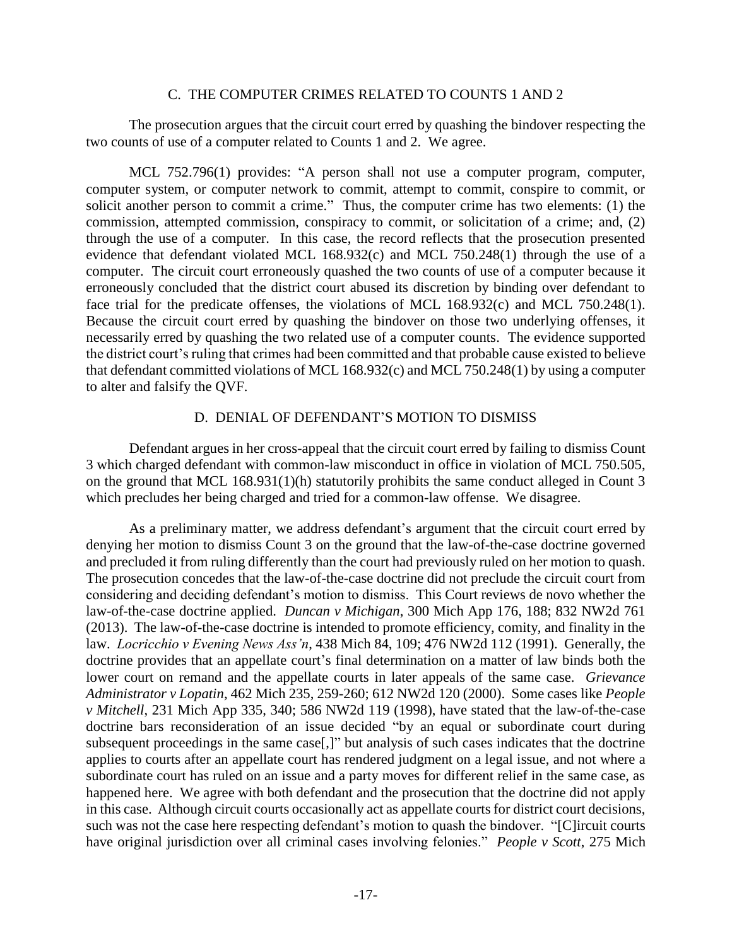#### C. THE COMPUTER CRIMES RELATED TO COUNTS 1 AND 2

The prosecution argues that the circuit court erred by quashing the bindover respecting the two counts of use of a computer related to Counts 1 and 2. We agree.

MCL 752.796(1) provides: "A person shall not use a computer program, computer, computer system, or computer network to commit, attempt to commit, conspire to commit, or solicit another person to commit a crime." Thus, the computer crime has two elements: (1) the commission, attempted commission, conspiracy to commit, or solicitation of a crime; and, (2) through the use of a computer. In this case, the record reflects that the prosecution presented evidence that defendant violated MCL 168.932(c) and MCL 750.248(1) through the use of a computer. The circuit court erroneously quashed the two counts of use of a computer because it erroneously concluded that the district court abused its discretion by binding over defendant to face trial for the predicate offenses, the violations of MCL 168.932(c) and MCL 750.248(1). Because the circuit court erred by quashing the bindover on those two underlying offenses, it necessarily erred by quashing the two related use of a computer counts. The evidence supported the district court's ruling that crimes had been committed and that probable cause existed to believe that defendant committed violations of MCL 168.932(c) and MCL 750.248(1) by using a computer to alter and falsify the QVF.

### D. DENIAL OF DEFENDANT'S MOTION TO DISMISS

Defendant argues in her cross-appeal that the circuit court erred by failing to dismiss Count 3 which charged defendant with common-law misconduct in office in violation of MCL 750.505, on the ground that MCL 168.931(1)(h) statutorily prohibits the same conduct alleged in Count 3 which precludes her being charged and tried for a common-law offense. We disagree.

As a preliminary matter, we address defendant's argument that the circuit court erred by denying her motion to dismiss Count 3 on the ground that the law-of-the-case doctrine governed and precluded it from ruling differently than the court had previously ruled on her motion to quash. The prosecution concedes that the law-of-the-case doctrine did not preclude the circuit court from considering and deciding defendant's motion to dismiss. This Court reviews de novo whether the law-of-the-case doctrine applied. *Duncan v Michigan*, 300 Mich App 176, 188; 832 NW2d 761 (2013). The law-of-the-case doctrine is intended to promote efficiency, comity, and finality in the law. *Locricchio v Evening News Ass'n*, 438 Mich 84, 109; 476 NW2d 112 (1991). Generally, the doctrine provides that an appellate court's final determination on a matter of law binds both the lower court on remand and the appellate courts in later appeals of the same case. *Grievance Administrator v Lopatin*, 462 Mich 235, 259-260; 612 NW2d 120 (2000). Some cases like *People v Mitchell*, 231 Mich App 335, 340; 586 NW2d 119 (1998), have stated that the law-of-the-case doctrine bars reconsideration of an issue decided "by an equal or subordinate court during subsequent proceedings in the same case[,]" but analysis of such cases indicates that the doctrine applies to courts after an appellate court has rendered judgment on a legal issue, and not where a subordinate court has ruled on an issue and a party moves for different relief in the same case, as happened here. We agree with both defendant and the prosecution that the doctrine did not apply in this case. Although circuit courts occasionally act as appellate courts for district court decisions, such was not the case here respecting defendant's motion to quash the bindover. "[C]ircuit courts have original jurisdiction over all criminal cases involving felonies." *People v Scott*, 275 Mich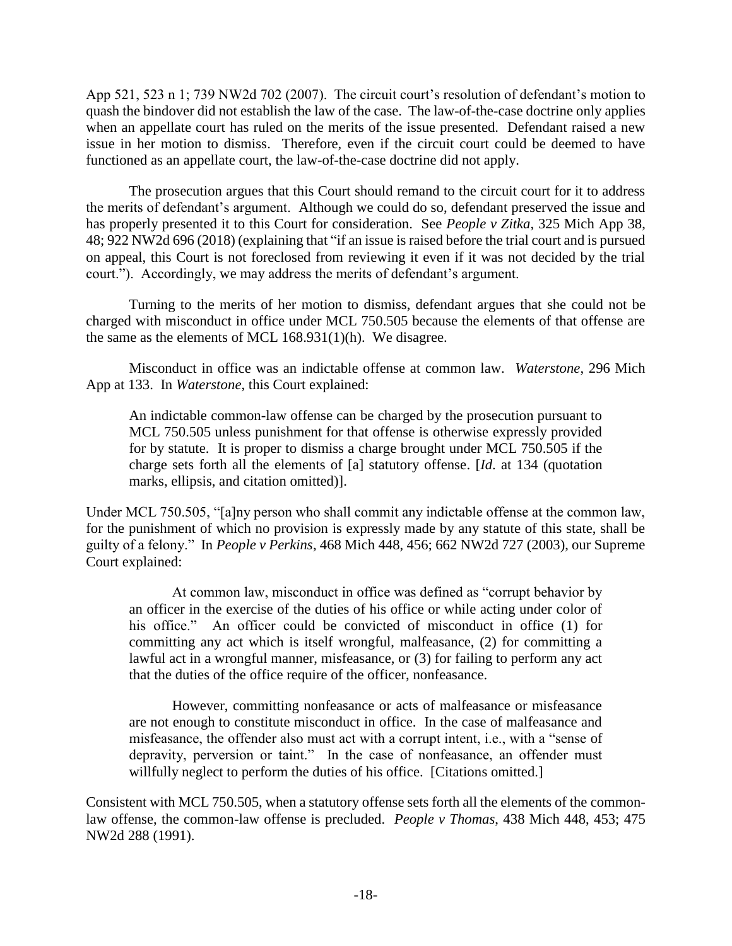App 521, 523 n 1; 739 NW2d 702 (2007). The circuit court's resolution of defendant's motion to quash the bindover did not establish the law of the case. The law-of-the-case doctrine only applies when an appellate court has ruled on the merits of the issue presented. Defendant raised a new issue in her motion to dismiss. Therefore, even if the circuit court could be deemed to have functioned as an appellate court, the law-of-the-case doctrine did not apply.

The prosecution argues that this Court should remand to the circuit court for it to address the merits of defendant's argument. Although we could do so, defendant preserved the issue and has properly presented it to this Court for consideration. See *People v Zitka*, 325 Mich App 38, 48; 922 NW2d 696 (2018) (explaining that "if an issue is raised before the trial court and is pursued on appeal, this Court is not foreclosed from reviewing it even if it was not decided by the trial court."). Accordingly, we may address the merits of defendant's argument.

Turning to the merits of her motion to dismiss, defendant argues that she could not be charged with misconduct in office under MCL 750.505 because the elements of that offense are the same as the elements of MCL 168.931(1)(h). We disagree.

Misconduct in office was an indictable offense at common law. *Waterstone*, 296 Mich App at 133. In *Waterstone*, this Court explained:

An indictable common-law offense can be charged by the prosecution pursuant to MCL 750.505 unless punishment for that offense is otherwise expressly provided for by statute. It is proper to dismiss a charge brought under MCL 750.505 if the charge sets forth all the elements of [a] statutory offense. [*Id*. at 134 (quotation marks, ellipsis, and citation omitted)].

Under MCL 750.505, "[a]ny person who shall commit any indictable offense at the common law, for the punishment of which no provision is expressly made by any statute of this state, shall be guilty of a felony." In *People v Perkins*, 468 Mich 448, 456; 662 NW2d 727 (2003), our Supreme Court explained:

At common law, misconduct in office was defined as "corrupt behavior by an officer in the exercise of the duties of his office or while acting under color of his office." An officer could be convicted of misconduct in office (1) for committing any act which is itself wrongful, malfeasance, (2) for committing a lawful act in a wrongful manner, misfeasance, or (3) for failing to perform any act that the duties of the office require of the officer, nonfeasance.

However, committing nonfeasance or acts of malfeasance or misfeasance are not enough to constitute misconduct in office. In the case of malfeasance and misfeasance, the offender also must act with a corrupt intent, i.e., with a "sense of depravity, perversion or taint." In the case of nonfeasance, an offender must willfully neglect to perform the duties of his office. [Citations omitted.]

Consistent with MCL 750.505, when a statutory offense sets forth all the elements of the commonlaw offense, the common-law offense is precluded. *People v Thomas*, 438 Mich 448, 453; 475 NW2d 288 (1991).